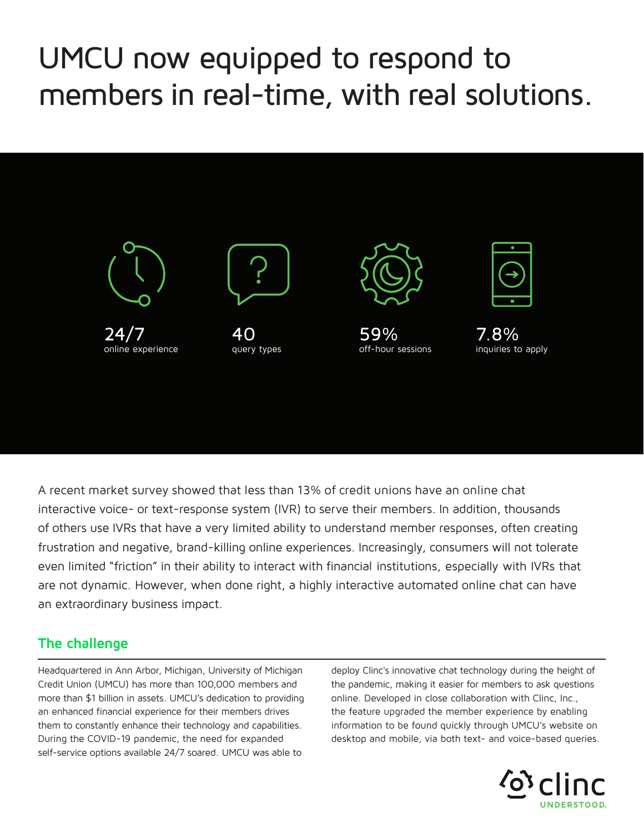## UMCU now equipped to respond to members in real-time, with real solutions.



A recent market survey showed that less than 13% of credit unions have an online chat interactive voice- or text-response system (IVR) to serve their members. In addition, thousands of others use IVRs that have a very limited ability to understand member responses, often creating frustration and negative, brand-killing online experiences. Increasingly, consumers will not tolerate even limited "friction" in their ability to interact with financial institutions, especially with IVRs that are not dynamic. However, when done right, a highly interactive automated online chat can have an extraordinary business impact.

## **The challenge**

Headquartered in Ann Arbor, Michigan, University of Michigan Credit Union (UMCU) has more than 100,000 members and more than \$1 billion in assets. UMCU's dedication to providing an enhanced financial experience for their members drives them to constantly enhance their technology and capabilities. During the COVID-19 pandemic, the need for expanded self-service options available 24/7 soared. UMCU was able to

deploy Clinc's innovative chat technology during the height of the pandemic, making it easier for members to ask questions online. Developed in close collaboration with Clinc, Inc., the feature upgraded the member experience by enabling information to be found quickly through UMCU's website on desktop and mobile, via both text- and voice-based queries.